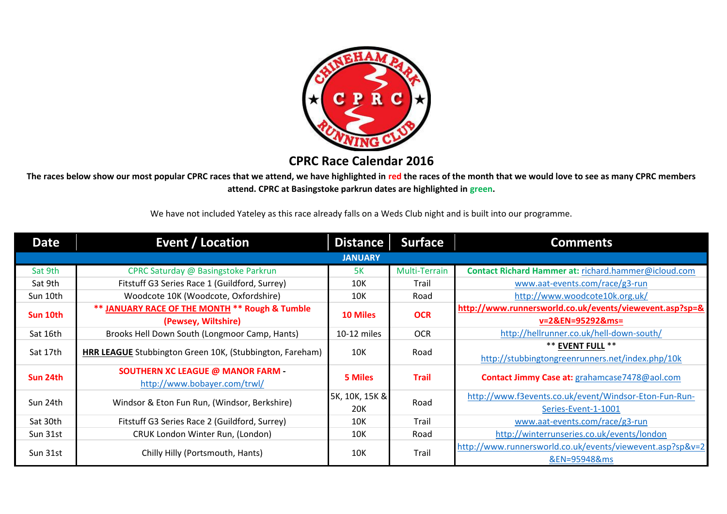

# **CPRC Race Calendar 2016**

**The races below show our most popular CPRC races that we attend, we have highlighted in red the races of the month that we would love to see as many CPRC members attend. CPRC at Basingstoke parkrun dates are highlighted in green.** 

We have not included Yateley as this race already falls on a Weds Club night and is built into our programme.

| <b>Date</b>    | <b>Event / Location</b>                                  | <b>Distance</b> | <b>Surface</b> | <b>Comments</b>                                           |  |  |
|----------------|----------------------------------------------------------|-----------------|----------------|-----------------------------------------------------------|--|--|
| <b>JANUARY</b> |                                                          |                 |                |                                                           |  |  |
| Sat 9th        | CPRC Saturday @ Basingstoke Parkrun                      | <b>5K</b>       | Multi-Terrain  | Contact Richard Hammer at: richard.hammer@icloud.com      |  |  |
| Sat 9th        | Fitstuff G3 Series Race 1 (Guildford, Surrey)            | 10K             | Trail          | www.aat-events.com/race/g3-run                            |  |  |
| Sun 10th       | Woodcote 10K (Woodcote, Oxfordshire)                     | 10K             | Road           | http://www.woodcote10k.org.uk/                            |  |  |
| Sun 10th       | ** JANUARY RACE OF THE MONTH ** Rough & Tumble           |                 | <b>OCR</b>     | http://www.runnersworld.co.uk/events/viewevent.asp?sp=&   |  |  |
|                | (Pewsey, Wiltshire)                                      | <b>10 Miles</b> |                | v=2&EN=95292&ms=                                          |  |  |
| Sat 16th       | Brooks Hell Down South (Longmoor Camp, Hants)            | 10-12 miles     | <b>OCR</b>     | http://hellrunner.co.uk/hell-down-south/                  |  |  |
| Sat 17th       |                                                          | 10K             |                | <b>** EVENT FULL **</b>                                   |  |  |
|                | HRR LEAGUE Stubbington Green 10K, (Stubbington, Fareham) |                 | Road           | http://stubbingtongreenrunners.net/index.php/10k          |  |  |
| Sun 24th       | <b>SOUTHERN XC LEAGUE @ MANOR FARM -</b>                 | 5 Miles         | <b>Trail</b>   | Contact Jimmy Case at: grahamcase7478@aol.com             |  |  |
|                | http://www.bobayer.com/trwl/                             |                 |                |                                                           |  |  |
| Sun 24th       | Windsor & Eton Fun Run, (Windsor, Berkshire)             | 5K, 10K, 15K &  | Road           | http://www.f3events.co.uk/event/Windsor-Eton-Fun-Run-     |  |  |
|                |                                                          | 20K             |                | Series-Event-1-1001                                       |  |  |
| Sat 30th       | Fitstuff G3 Series Race 2 (Guildford, Surrey)            | 10K             | Trail          | www.aat-events.com/race/g3-run                            |  |  |
| Sun 31st       | CRUK London Winter Run, (London)                         | 10K             | Road           | http://winterrunseries.co.uk/events/london                |  |  |
|                |                                                          |                 |                | http://www.runnersworld.co.uk/events/viewevent.asp?sp&v=2 |  |  |
| Sun 31st       | Chilly Hilly (Portsmouth, Hants)                         | 10K             | Trail          | &EN=95948&ms                                              |  |  |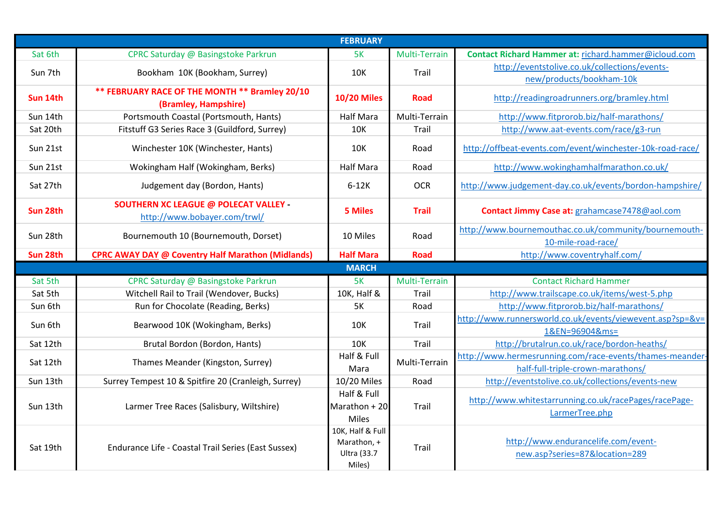| <b>FEBRUARY</b> |                                                                              |                                 |               |                                                           |  |
|-----------------|------------------------------------------------------------------------------|---------------------------------|---------------|-----------------------------------------------------------|--|
| Sat 6th         | CPRC Saturday @ Basingstoke Parkrun                                          | 5K                              | Multi-Terrain | Contact Richard Hammer at: richard.hammer@icloud.com      |  |
| Sun 7th         | Bookham 10K (Bookham, Surrey)                                                | <b>10K</b>                      | Trail         | http://eventstolive.co.uk/collections/events-             |  |
|                 |                                                                              |                                 |               | new/products/bookham-10k                                  |  |
| Sun 14th        | ** FEBRUARY RACE OF THE MONTH ** Bramley 20/10<br>(Bramley, Hampshire)       | <b>10/20 Miles</b>              | <b>Road</b>   | http://readingroadrunners.org/bramley.html                |  |
| Sun 14th        | Portsmouth Coastal (Portsmouth, Hants)                                       | <b>Half Mara</b>                | Multi-Terrain | http://www.fitprorob.biz/half-marathons/                  |  |
| Sat 20th        | Fitstuff G3 Series Race 3 (Guildford, Surrey)                                | <b>10K</b>                      | Trail         | http://www.aat-events.com/race/g3-run                     |  |
| Sun 21st        | Winchester 10K (Winchester, Hants)                                           | <b>10K</b>                      | Road          | http://offbeat-events.com/event/winchester-10k-road-race/ |  |
| Sun 21st        | Wokingham Half (Wokingham, Berks)                                            | <b>Half Mara</b>                | Road          | http://www.wokinghamhalfmarathon.co.uk/                   |  |
| Sat 27th        | Judgement day (Bordon, Hants)                                                | $6-12K$                         | <b>OCR</b>    | http://www.judgement-day.co.uk/events/bordon-hampshire/   |  |
| Sun 28th        | <b>SOUTHERN XC LEAGUE @ POLECAT VALLEY -</b><br>http://www.bobayer.com/trwl/ | <b>5 Miles</b>                  | <b>Trail</b>  | Contact Jimmy Case at: grahamcase7478@aol.com             |  |
| Sun 28th        | Bournemouth 10 (Bournemouth, Dorset)                                         | 10 Miles                        | Road          | http://www.bournemouthac.co.uk/community/bournemouth-     |  |
|                 |                                                                              |                                 |               | 10-mile-road-race/                                        |  |
| Sun 28th        | <b>CPRC AWAY DAY @ Coventry Half Marathon (Midlands)</b>                     | <b>Half Mara</b>                | <b>Road</b>   | http://www.coventryhalf.com/                              |  |
|                 |                                                                              | <b>MARCH</b>                    |               |                                                           |  |
| Sat 5th         | CPRC Saturday @ Basingstoke Parkrun                                          | 5K                              | Multi-Terrain | <b>Contact Richard Hammer</b>                             |  |
| Sat 5th         | Witchell Rail to Trail (Wendover, Bucks)                                     | 10K, Half &                     | Trail         | http://www.trailscape.co.uk/items/west-5.php              |  |
| Sun 6th         | Run for Chocolate (Reading, Berks)                                           | <b>5K</b>                       | Road          | http://www.fitprorob.biz/half-marathons/                  |  |
| Sun 6th         | Bearwood 10K (Wokingham, Berks)                                              | 10K                             | Trail         | http://www.runnersworld.co.uk/events/viewevent.asp?sp=&v= |  |
|                 |                                                                              |                                 |               | 1&EN=96904&ms=                                            |  |
| Sat 12th        | Brutal Bordon (Bordon, Hants)                                                | <b>10K</b>                      | Trail         | http://brutalrun.co.uk/race/bordon-heaths/                |  |
| Sat 12th        | Thames Meander (Kingston, Surrey)                                            | Half & Full                     | Multi-Terrain | http://www.hermesrunning.com/race-events/thames-meander-  |  |
|                 |                                                                              | Mara                            |               | half-full-triple-crown-marathons/                         |  |
| Sun 13th        | Surrey Tempest 10 & Spitfire 20 (Cranleigh, Surrey)                          | 10/20 Miles                     | Road          | http://eventstolive.co.uk/collections/events-new          |  |
|                 |                                                                              | Half & Full                     |               | http://www.whitestarrunning.co.uk/racePages/racePage-     |  |
| Sun 13th        | Larmer Tree Races (Salisbury, Wiltshire)                                     | Marathon + 20                   | Trail         | LarmerTree.php                                            |  |
|                 |                                                                              | Miles                           |               |                                                           |  |
|                 |                                                                              | 10K, Half & Full<br>Marathon, + |               | http://www.endurancelife.com/event-                       |  |
| Sat 19th        | Endurance Life - Coastal Trail Series (East Sussex)                          | Ultra (33.7                     | Trail         | new.asp?series=87&location=289                            |  |
|                 |                                                                              | Miles)                          |               |                                                           |  |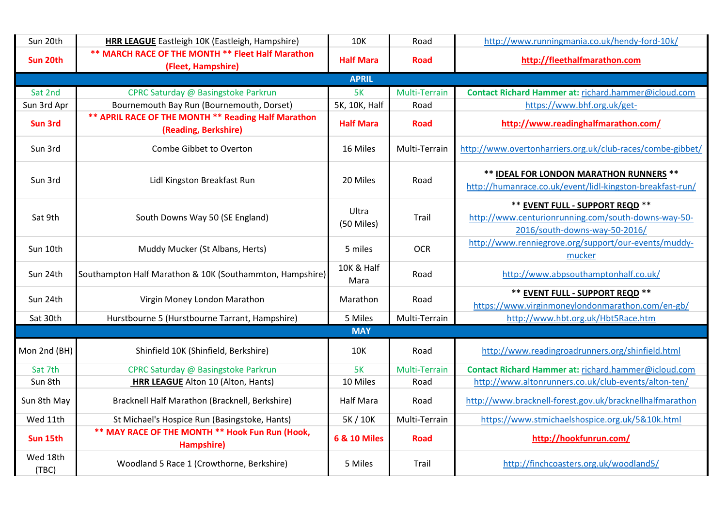| Sun 20th          | HRR LEAGUE Eastleigh 10K (Eastleigh, Hampshire)                             | <b>10K</b>                    | Road          | http://www.runningmania.co.uk/hendy-ford-10k/                                                                           |
|-------------------|-----------------------------------------------------------------------------|-------------------------------|---------------|-------------------------------------------------------------------------------------------------------------------------|
| Sun 20th          | ** MARCH RACE OF THE MONTH ** Fleet Half Marathon                           |                               |               |                                                                                                                         |
|                   | (Fleet, Hampshire)                                                          | <b>Half Mara</b>              | <b>Road</b>   | http://fleethalfmarathon.com                                                                                            |
|                   |                                                                             | <b>APRIL</b>                  |               |                                                                                                                         |
| Sat 2nd           | CPRC Saturday @ Basingstoke Parkrun                                         | 5K                            | Multi-Terrain | Contact Richard Hammer at: richard.hammer@icloud.com                                                                    |
| Sun 3rd Apr       | Bournemouth Bay Run (Bournemouth, Dorset)                                   | 5K, 10K, Half                 | Road          | https://www.bhf.org.uk/get-                                                                                             |
| <b>Sun 3rd</b>    | ** APRIL RACE OF THE MONTH ** Reading Half Marathon<br>(Reading, Berkshire) | <b>Half Mara</b>              | <b>Road</b>   | http://www.readinghalfmarathon.com/                                                                                     |
| Sun 3rd           | Combe Gibbet to Overton                                                     | 16 Miles                      | Multi-Terrain | http://www.overtonharriers.org.uk/club-races/combe-gibbet/                                                              |
| Sun 3rd           | Lidl Kingston Breakfast Run                                                 | 20 Miles                      | Road          | ** IDEAL FOR LONDON MARATHON RUNNERS **<br>http://humanrace.co.uk/event/lidl-kingston-breakfast-run/                    |
| Sat 9th           | South Downs Way 50 (SE England)                                             | Ultra<br>(50 Miles)           | Trail         | ** EVENT FULL - SUPPORT REQD **<br>http://www.centurionrunning.com/south-downs-way-50-<br>2016/south-downs-way-50-2016/ |
| Sun 10th          | Muddy Mucker (St Albans, Herts)                                             | 5 miles                       | <b>OCR</b>    | http://www.renniegrove.org/support/our-events/muddy-<br>mucker                                                          |
| Sun 24th          | Southampton Half Marathon & 10K (Southammton, Hampshire)                    | <b>10K &amp; Half</b><br>Mara | Road          | http://www.abpsouthamptonhalf.co.uk/                                                                                    |
| Sun 24th          | Virgin Money London Marathon                                                | Marathon                      | Road          | ** EVENT FULL - SUPPORT REQD **<br>https://www.virginmoneylondonmarathon.com/en-gb/                                     |
| Sat 30th          | Hurstbourne 5 (Hurstbourne Tarrant, Hampshire)                              | 5 Miles                       | Multi-Terrain | http://www.hbt.org.uk/Hbt5Race.htm                                                                                      |
|                   |                                                                             | <b>MAY</b>                    |               |                                                                                                                         |
| Mon 2nd (BH)      | Shinfield 10K (Shinfield, Berkshire)                                        | 10K                           | Road          | http://www.readingroadrunners.org/shinfield.html                                                                        |
| Sat 7th           | CPRC Saturday @ Basingstoke Parkrun                                         | 5K                            | Multi-Terrain | Contact Richard Hammer at: richard.hammer@icloud.com                                                                    |
| Sun 8th           | HRR LEAGUE Alton 10 (Alton, Hants)                                          | 10 Miles                      | Road          | http://www.altonrunners.co.uk/club-events/alton-ten/                                                                    |
| Sun 8th May       | Bracknell Half Marathon (Bracknell, Berkshire)                              | <b>Half Mara</b>              | Road          | http://www.bracknell-forest.gov.uk/bracknellhalfmarathon                                                                |
| Wed 11th          | St Michael's Hospice Run (Basingstoke, Hants)                               | 5K / 10K                      | Multi-Terrain | https://www.stmichaelshospice.org.uk/5&10k.html                                                                         |
| Sun 15th          | ** MAY RACE OF THE MONTH ** Hook Fun Run (Hook,<br>Hampshire)               | 6 & 10 Miles                  | <b>Road</b>   | http://hookfunrun.com/                                                                                                  |
| Wed 18th<br>(TBC) | Woodland 5 Race 1 (Crowthorne, Berkshire)                                   | 5 Miles                       | Trail         | http://finchcoasters.org.uk/woodland5/                                                                                  |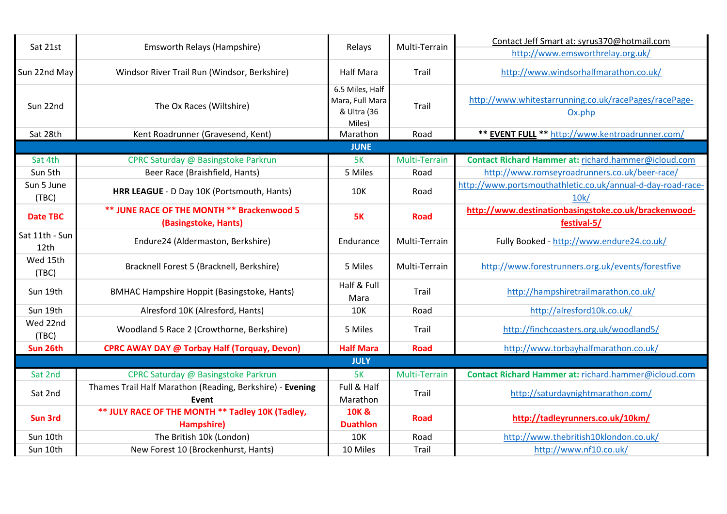| Sat 21st               | Emsworth Relays (Hampshire)                                        | Relays                                                      | Multi-Terrain | Contact Jeff Smart at: syrus370@hotmail.com<br>http://www.emsworthrelay.org.uk/ |
|------------------------|--------------------------------------------------------------------|-------------------------------------------------------------|---------------|---------------------------------------------------------------------------------|
| Sun 22nd May           | Windsor River Trail Run (Windsor, Berkshire)                       | <b>Half Mara</b>                                            | Trail         | http://www.windsorhalfmarathon.co.uk/                                           |
| Sun 22nd               | The Ox Races (Wiltshire)                                           | 6.5 Miles, Half<br>Mara, Full Mara<br>& Ultra (36<br>Miles) | Trail         | http://www.whitestarrunning.co.uk/racePages/racePage-<br>Ox.php                 |
| Sat 28th               | Kent Roadrunner (Gravesend, Kent)                                  | Marathon                                                    | Road          | ** EVENT FULL ** http://www.kentroadrunner.com/                                 |
|                        |                                                                    | <b>JUNE</b>                                                 |               |                                                                                 |
| Sat 4th                | CPRC Saturday @ Basingstoke Parkrun                                | 5K                                                          | Multi-Terrain | Contact Richard Hammer at: richard.hammer@icloud.com                            |
| Sun 5th                | Beer Race (Braishfield, Hants)                                     | 5 Miles                                                     | Road          | http://www.romseyroadrunners.co.uk/beer-race/                                   |
| Sun 5 June<br>(TBC)    | HRR LEAGUE - D Day 10K (Portsmouth, Hants)                         | <b>10K</b>                                                  | Road          | http://www.portsmouthathletic.co.uk/annual-d-day-road-race-<br>10k/             |
| <b>Date TBC</b>        | ** JUNE RACE OF THE MONTH ** Brackenwood 5<br>(Basingstoke, Hants) | <b>5K</b>                                                   | <b>Road</b>   | http://www.destinationbasingstoke.co.uk/brackenwood-<br>festival-5/             |
| Sat 11th - Sun<br>12th | Endure24 (Aldermaston, Berkshire)                                  | Endurance                                                   | Multi-Terrain | Fully Booked - http://www.endure24.co.uk/                                       |
| Wed 15th<br>(TBC)      | Bracknell Forest 5 (Bracknell, Berkshire)                          | 5 Miles                                                     | Multi-Terrain | http://www.forestrunners.org.uk/events/forestfive                               |
| Sun 19th               | <b>BMHAC Hampshire Hoppit (Basingstoke, Hants)</b>                 | Half & Full<br>Mara                                         | Trail         | http://hampshiretrailmarathon.co.uk/                                            |
| Sun 19th               | Alresford 10K (Alresford, Hants)                                   | 10K                                                         | Road          | http://alresford10k.co.uk/                                                      |
| Wed 22nd<br>(TBC)      | Woodland 5 Race 2 (Crowthorne, Berkshire)                          | 5 Miles                                                     | Trail         | http://finchcoasters.org.uk/woodland5/                                          |
| Sun 26th               | <b>CPRC AWAY DAY @ Torbay Half (Torquay, Devon)</b>                | <b>Half Mara</b>                                            | <b>Road</b>   | http://www.torbayhalfmarathon.co.uk/                                            |
|                        |                                                                    | <b>JULY</b>                                                 |               |                                                                                 |
| Sat 2nd                | CPRC Saturday @ Basingstoke Parkrun                                | 5K                                                          | Multi-Terrain | Contact Richard Hammer at: richard.hammer@icloud.com                            |
| Sat 2nd                | Thames Trail Half Marathon (Reading, Berkshire) - Evening<br>Event | Full & Half<br>Marathon                                     | Trail         | http://saturdaynightmarathon.com/                                               |
| Sun 3rd                | ** JULY RACE OF THE MONTH ** Tadley 10K (Tadley,<br>Hampshire)     | 10K &<br><b>Duathlon</b>                                    | <b>Road</b>   | http://tadleyrunners.co.uk/10km/                                                |
| Sun 10th               | The British 10k (London)                                           | 10K                                                         | Road          | http://www.thebritish10klondon.co.uk/                                           |
| Sun 10th               | New Forest 10 (Brockenhurst, Hants)                                | 10 Miles                                                    | Trail         | http://www.nf10.co.uk/                                                          |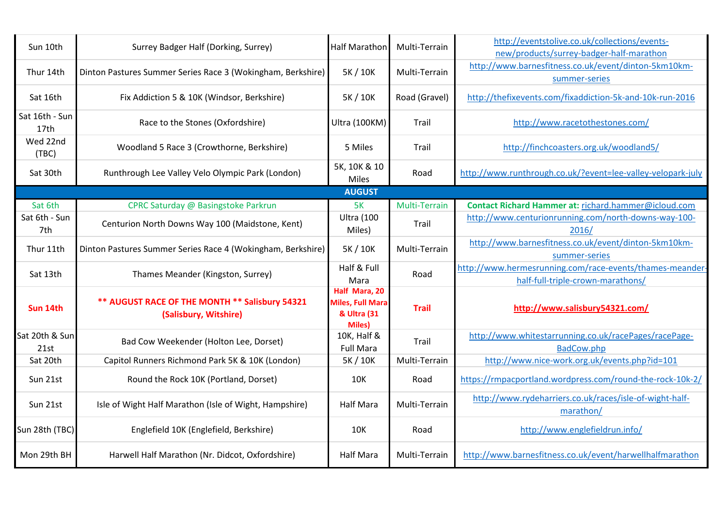| Sun 10th               | Surrey Badger Half (Dorking, Surrey)                                    | <b>Half Marathon</b>                                               | Multi-Terrain | http://eventstolive.co.uk/collections/events-<br>new/products/surrey-badger-half-marathon     |
|------------------------|-------------------------------------------------------------------------|--------------------------------------------------------------------|---------------|-----------------------------------------------------------------------------------------------|
| Thur 14th              | Dinton Pastures Summer Series Race 3 (Wokingham, Berkshire)             | 5K / 10K                                                           | Multi-Terrain | http://www.barnesfitness.co.uk/event/dinton-5km10km-<br>summer-series                         |
| Sat 16th               | Fix Addiction 5 & 10K (Windsor, Berkshire)                              | 5K / 10K                                                           | Road (Gravel) | http://thefixevents.com/fixaddiction-5k-and-10k-run-2016                                      |
| Sat 16th - Sun<br>17th | Race to the Stones (Oxfordshire)                                        | Ultra (100KM)                                                      | Trail         | http://www.racetothestones.com/                                                               |
| Wed 22nd<br>(TBC)      | Woodland 5 Race 3 (Crowthorne, Berkshire)                               | 5 Miles                                                            | Trail         | http://finchcoasters.org.uk/woodland5/                                                        |
| Sat 30th               | Runthrough Lee Valley Velo Olympic Park (London)                        | 5K, 10K & 10<br>Miles                                              | Road          | http://www.runthrough.co.uk/?event=lee-valley-velopark-july                                   |
|                        |                                                                         | <b>AUGUST</b>                                                      |               |                                                                                               |
| Sat 6th                | CPRC Saturday @ Basingstoke Parkrun                                     | 5K                                                                 | Multi-Terrain | Contact Richard Hammer at: richard.hammer@icloud.com                                          |
| Sat 6th - Sun<br>7th   | Centurion North Downs Way 100 (Maidstone, Kent)                         | <b>Ultra (100</b><br>Miles)                                        | Trail         | http://www.centurionrunning.com/north-downs-way-100-<br>2016/                                 |
| Thur 11th              | Dinton Pastures Summer Series Race 4 (Wokingham, Berkshire)             | 5K / 10K                                                           | Multi-Terrain | http://www.barnesfitness.co.uk/event/dinton-5km10km-<br>summer-series                         |
| Sat 13th               | Thames Meander (Kingston, Surrey)                                       | Half & Full<br>Mara                                                | Road          | http://www.hermesrunning.com/race-events/thames-meander-<br>half-full-triple-crown-marathons/ |
| Sun 14th               | ** AUGUST RACE OF THE MONTH ** Salisbury 54321<br>(Salisbury, Witshire) | Half Mara, 20<br>Miles, Full Mara<br>& Ultra (31<br><b>Miles</b> ) | <b>Trail</b>  | http://www.salisbury54321.com/                                                                |
| Sat 20th & Sun<br>21st | Bad Cow Weekender (Holton Lee, Dorset)                                  | 10K, Half &<br><b>Full Mara</b>                                    | Trail         | http://www.whitestarrunning.co.uk/racePages/racePage-<br>BadCow.php                           |
| Sat 20th               | Capitol Runners Richmond Park 5K & 10K (London)                         | 5K / 10K                                                           | Multi-Terrain | http://www.nice-work.org.uk/events.php?id=101                                                 |
| Sun 21st               | Round the Rock 10K (Portland, Dorset)                                   | 10K                                                                | Road          | https://rmpacportland.wordpress.com/round-the-rock-10k-2/                                     |
| Sun 21st               | Isle of Wight Half Marathon (Isle of Wight, Hampshire)                  | <b>Half Mara</b>                                                   | Multi-Terrain | http://www.rydeharriers.co.uk/races/isle-of-wight-half-<br>marathon/                          |
| Sun 28th (TBC)         | Englefield 10K (Englefield, Berkshire)                                  | <b>10K</b>                                                         | Road          | http://www.englefieldrun.info/                                                                |
| Mon 29th BH            | Harwell Half Marathon (Nr. Didcot, Oxfordshire)                         | <b>Half Mara</b>                                                   | Multi-Terrain | http://www.barnesfitness.co.uk/event/harwellhalfmarathon                                      |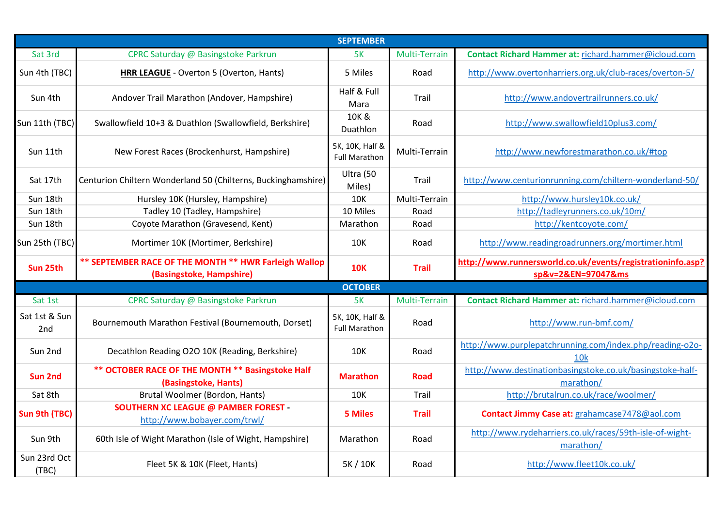| <b>SEPTEMBER</b>     |                                                                                   |                                         |               |                                                                                  |  |
|----------------------|-----------------------------------------------------------------------------------|-----------------------------------------|---------------|----------------------------------------------------------------------------------|--|
| Sat 3rd              | CPRC Saturday @ Basingstoke Parkrun                                               | 5K                                      | Multi-Terrain | Contact Richard Hammer at: richard.hammer@icloud.com                             |  |
| Sun 4th (TBC)        | HRR LEAGUE - Overton 5 (Overton, Hants)                                           | 5 Miles                                 | Road          | http://www.overtonharriers.org.uk/club-races/overton-5/                          |  |
| Sun 4th              | Andover Trail Marathon (Andover, Hampshire)                                       | Half & Full<br>Mara                     | Trail         | http://www.andovertrailrunners.co.uk/                                            |  |
| Sun 11th (TBC)       | Swallowfield 10+3 & Duathlon (Swallowfield, Berkshire)                            | 10K &<br>Duathlon                       | Road          | http://www.swallowfield10plus3.com/                                              |  |
| Sun 11th             | New Forest Races (Brockenhurst, Hampshire)                                        | 5K, 10K, Half &<br><b>Full Marathon</b> | Multi-Terrain | http://www.newforestmarathon.co.uk/#top                                          |  |
| Sat 17th             | Centurion Chiltern Wonderland 50 (Chilterns, Buckinghamshire)                     | Ultra (50<br>Miles)                     | Trail         | http://www.centurionrunning.com/chiltern-wonderland-50/                          |  |
| Sun 18th             | Hursley 10K (Hursley, Hampshire)                                                  | 10K                                     | Multi-Terrain | http://www.hursley10k.co.uk/                                                     |  |
| Sun 18th             | Tadley 10 (Tadley, Hampshire)                                                     | 10 Miles                                | Road          | http://tadleyrunners.co.uk/10m/                                                  |  |
| Sun 18th             | Coyote Marathon (Gravesend, Kent)                                                 | Marathon                                | Road          | http://kentcoyote.com/                                                           |  |
| Sun 25th (TBC)       | Mortimer 10K (Mortimer, Berkshire)                                                | <b>10K</b>                              | Road          | http://www.readingroadrunners.org/mortimer.html                                  |  |
|                      |                                                                                   |                                         |               |                                                                                  |  |
| Sun 25th             | ** SEPTEMBER RACE OF THE MONTH ** HWR Farleigh Wallop<br>(Basingstoke, Hampshire) | <b>10K</b>                              | <b>Trail</b>  | http://www.runnersworld.co.uk/events/registrationinfo.asp?<br>sp&v=2&EN=97047&ms |  |
|                      |                                                                                   | <b>OCTOBER</b>                          |               |                                                                                  |  |
| Sat 1st              | CPRC Saturday @ Basingstoke Parkrun                                               | <b>5K</b>                               | Multi-Terrain | Contact Richard Hammer at: richard.hammer@icloud.com                             |  |
| Sat 1st & Sun<br>2nd | Bournemouth Marathon Festival (Bournemouth, Dorset)                               | 5K, 10K, Half &<br><b>Full Marathon</b> | Road          | http://www.run-bmf.com/                                                          |  |
| Sun 2nd              | Decathlon Reading O2O 10K (Reading, Berkshire)                                    | <b>10K</b>                              | Road          | http://www.purplepatchrunning.com/index.php/reading-o2o-<br>10 <sub>k</sub>      |  |
| <b>Sun 2nd</b>       | ** OCTOBER RACE OF THE MONTH ** Basingstoke Half<br>(Basingstoke, Hants)          | <b>Marathon</b>                         | <b>Road</b>   | http://www.destinationbasingstoke.co.uk/basingstoke-half-<br>marathon/           |  |
| Sat 8th              | Brutal Woolmer (Bordon, Hants)                                                    | <b>10K</b>                              | Trail         | http://brutalrun.co.uk/race/woolmer/                                             |  |
| Sun 9th (TBC)        | <b>SOUTHERN XC LEAGUE @ PAMBER FOREST -</b><br>http://www.bobayer.com/trwl/       | <b>5 Miles</b>                          | <b>Trail</b>  | Contact Jimmy Case at: grahamcase7478@aol.com                                    |  |
| Sun 9th              | 60th Isle of Wight Marathon (Isle of Wight, Hampshire)                            | Marathon                                | Road          | http://www.rydeharriers.co.uk/races/59th-isle-of-wight-<br>marathon/             |  |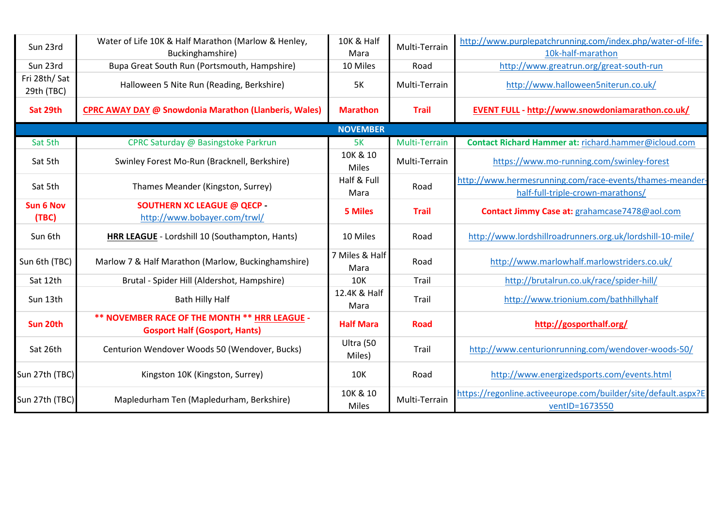| Sun 23rd                   | Water of Life 10K & Half Marathon (Marlow & Henley,<br>Buckinghamshire)               | 10K & Half<br>Mara     | Multi-Terrain | http://www.purplepatchrunning.com/index.php/water-of-life-<br>10k-half-marathon    |
|----------------------------|---------------------------------------------------------------------------------------|------------------------|---------------|------------------------------------------------------------------------------------|
| Sun 23rd                   | Bupa Great South Run (Portsmouth, Hampshire)                                          | 10 Miles               | Road          | http://www.greatrun.org/great-south-run                                            |
| Fri 28th/Sat<br>29th (TBC) | Halloween 5 Nite Run (Reading, Berkshire)                                             | <b>5K</b>              | Multi-Terrain | http://www.halloween5niterun.co.uk/                                                |
| Sat 29th                   | <b>CPRC AWAY DAY @ Snowdonia Marathon (Llanberis, Wales)</b>                          | <b>Marathon</b>        | <b>Trail</b>  | <b>EVENT FULL - http://www.snowdoniamarathon.co.uk/</b>                            |
|                            |                                                                                       | <b>NOVEMBER</b>        |               |                                                                                    |
| Sat 5th                    | CPRC Saturday @ Basingstoke Parkrun                                                   | 5K                     | Multi-Terrain | Contact Richard Hammer at: richard.hammer@icloud.com                               |
| Sat 5th                    | Swinley Forest Mo-Run (Bracknell, Berkshire)                                          | 10K & 10<br>Miles      | Multi-Terrain | https://www.mo-running.com/swinley-forest                                          |
| Sat 5th                    | Thames Meander (Kingston, Surrey)                                                     | Half & Full            | Road          | http://www.hermesrunning.com/race-events/thames-meander-                           |
| <b>Sun 6 Nov</b><br>(TBC)  | <b>SOUTHERN XC LEAGUE @ QECP -</b><br>http://www.bobayer.com/trwl/                    | Mara<br><b>5 Miles</b> | <b>Trail</b>  | half-full-triple-crown-marathons/<br>Contact Jimmy Case at: grahamcase7478@aol.com |
| Sun 6th                    | HRR LEAGUE - Lordshill 10 (Southampton, Hants)                                        | 10 Miles               | Road          | http://www.lordshillroadrunners.org.uk/lordshill-10-mile/                          |
| Sun 6th (TBC)              | Marlow 7 & Half Marathon (Marlow, Buckinghamshire)                                    | 7 Miles & Half<br>Mara | Road          | http://www.marlowhalf.marlowstriders.co.uk/                                        |
| Sat 12th                   | Brutal - Spider Hill (Aldershot, Hampshire)                                           | <b>10K</b>             | Trail         | http://brutalrun.co.uk/race/spider-hill/                                           |
| Sun 13th                   | <b>Bath Hilly Half</b>                                                                | 12.4K & Half<br>Mara   | Trail         | http://www.trionium.com/bathhillyhalf                                              |
| Sun 20th                   | ** NOVEMBER RACE OF THE MONTH ** HRR LEAGUE -<br><b>Gosport Half (Gosport, Hants)</b> | <b>Half Mara</b>       | <b>Road</b>   | http://gosporthalf.org/                                                            |
| Sat 26th                   | Centurion Wendover Woods 50 (Wendover, Bucks)                                         | Ultra (50<br>Miles)    | Trail         | http://www.centurionrunning.com/wendover-woods-50/                                 |
| Sun 27th (TBC)             | Kingston 10K (Kingston, Surrey)                                                       | <b>10K</b>             | Road          | http://www.energizedsports.com/events.html                                         |
| Sun 27th (TBC)             | Mapledurham Ten (Mapledurham, Berkshire)                                              | 10K & 10<br>Miles      | Multi-Terrain | https://regonline.activeeurope.com/builder/site/default.aspx?E<br>ventID=1673550   |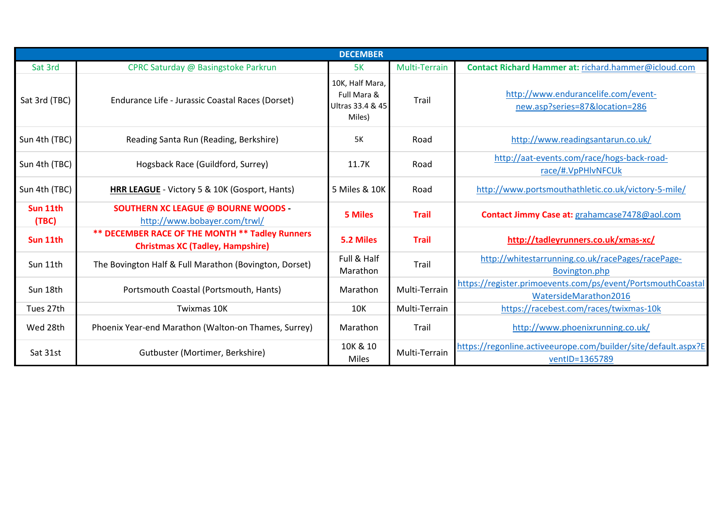| <b>DECEMBER</b>   |                                                                                            |                                                              |               |                                                                                      |  |
|-------------------|--------------------------------------------------------------------------------------------|--------------------------------------------------------------|---------------|--------------------------------------------------------------------------------------|--|
| Sat 3rd           | CPRC Saturday @ Basingstoke Parkrun                                                        | <b>5K</b>                                                    | Multi-Terrain | Contact Richard Hammer at: richard.hammer@icloud.com                                 |  |
| Sat 3rd (TBC)     | Endurance Life - Jurassic Coastal Races (Dorset)                                           | 10K, Half Mara,<br>Full Mara &<br>Ultras 33.4 & 45<br>Miles) | Trail         | http://www.endurancelife.com/event-<br>new.asp?series=87&location=286                |  |
| Sun 4th (TBC)     | Reading Santa Run (Reading, Berkshire)                                                     | <b>5K</b>                                                    | Road          | http://www.readingsantarun.co.uk/                                                    |  |
| Sun 4th (TBC)     | Hogsback Race (Guildford, Surrey)                                                          | 11.7K                                                        | Road          | http://aat-events.com/race/hogs-back-road-<br>race/#.VpPHlvNFCUk                     |  |
| Sun 4th (TBC)     | HRR LEAGUE - Victory 5 & 10K (Gosport, Hants)                                              | 5 Miles & 10K                                                | Road          | http://www.portsmouthathletic.co.uk/victory-5-mile/                                  |  |
| Sun 11th<br>(TBC) | <b>SOUTHERN XC LEAGUE @ BOURNE WOODS -</b><br>http://www.bobayer.com/trwl/                 | 5 Miles                                                      | <b>Trail</b>  | Contact Jimmy Case at: grahamcase7478@aol.com                                        |  |
| Sun 11th          | ** DECEMBER RACE OF THE MONTH ** Tadley Runners<br><b>Christmas XC (Tadley, Hampshire)</b> | 5.2 Miles                                                    | <b>Trail</b>  | http://tadleyrunners.co.uk/xmas-xc/                                                  |  |
| Sun 11th          | The Bovington Half & Full Marathon (Bovington, Dorset)                                     | Full & Half<br>Marathon                                      | Trail         | http://whitestarrunning.co.uk/racePages/racePage-<br>Bovington.php                   |  |
| Sun 18th          | Portsmouth Coastal (Portsmouth, Hants)                                                     | Marathon                                                     | Multi-Terrain | https://register.primoevents.com/ps/event/PortsmouthCoastal<br>WatersideMarathon2016 |  |
| Tues 27th         | Twixmas 10K                                                                                | <b>10K</b>                                                   | Multi-Terrain | https://racebest.com/races/twixmas-10k                                               |  |
| Wed 28th          | Phoenix Year-end Marathon (Walton-on Thames, Surrey)                                       | Marathon                                                     | Trail         | http://www.phoenixrunning.co.uk/                                                     |  |
| Sat 31st          | Gutbuster (Mortimer, Berkshire)                                                            | 10K & 10<br><b>Miles</b>                                     | Multi-Terrain | https://regonline.activeeurope.com/builder/site/default.aspx?E<br>ventID=1365789     |  |